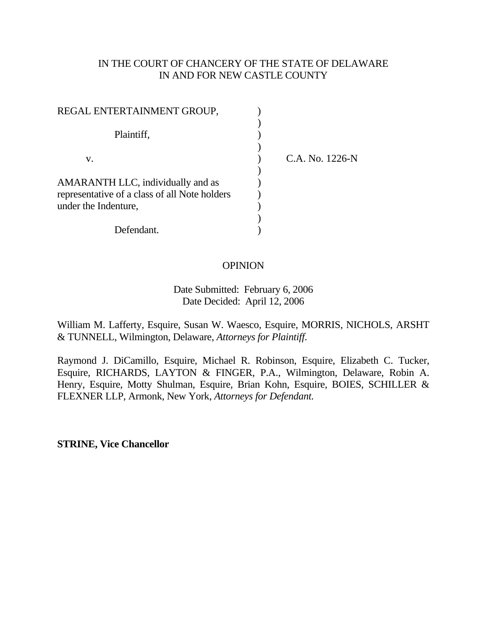## IN THE COURT OF CHANCERY OF THE STATE OF DELAWARE IN AND FOR NEW CASTLE COUNTY

| REGAL ENTERTAINMENT GROUP,                                                         |                 |
|------------------------------------------------------------------------------------|-----------------|
| Plaintiff,                                                                         |                 |
| V.                                                                                 | C.A. No. 1226-N |
| AMARANTH LLC, individually and as<br>representative of a class of all Note holders |                 |
| under the Indenture,                                                               |                 |
| Defendant                                                                          |                 |

## **OPINION**

 Date Submitted: February 6, 2006 Date Decided: April 12, 2006

William M. Lafferty, Esquire, Susan W. Waesco, Esquire, MORRIS, NICHOLS, ARSHT & TUNNELL, Wilmington, Delaware, *Attorneys for Plaintiff*.

Raymond J. DiCamillo, Esquire, Michael R. Robinson, Esquire, Elizabeth C. Tucker, Esquire, RICHARDS, LAYTON & FINGER, P.A., Wilmington, Delaware, Robin A. Henry, Esquire, Motty Shulman, Esquire, Brian Kohn, Esquire, BOIES, SCHILLER & FLEXNER LLP, Armonk, New York, *Attorneys for Defendant.*

**STRINE, Vice Chancellor**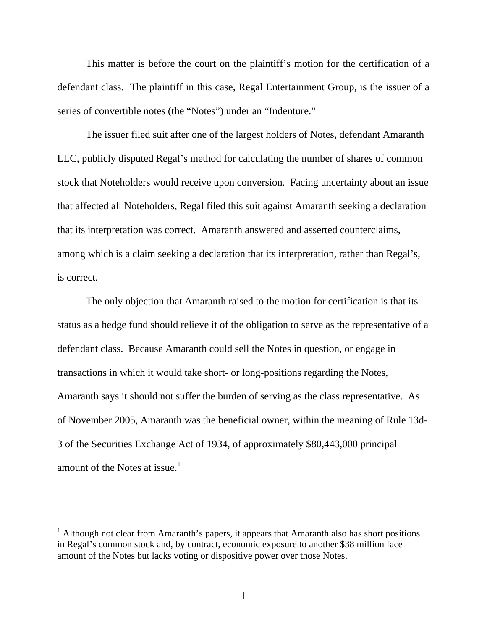This matter is before the court on the plaintiff's motion for the certification of a defendant class. The plaintiff in this case, Regal Entertainment Group, is the issuer of a series of convertible notes (the "Notes") under an "Indenture."

 The issuer filed suit after one of the largest holders of Notes, defendant Amaranth LLC, publicly disputed Regal's method for calculating the number of shares of common stock that Noteholders would receive upon conversion. Facing uncertainty about an issue that affected all Noteholders, Regal filed this suit against Amaranth seeking a declaration that its interpretation was correct. Amaranth answered and asserted counterclaims, among which is a claim seeking a declaration that its interpretation, rather than Regal's, is correct.

 The only objection that Amaranth raised to the motion for certification is that its status as a hedge fund should relieve it of the obligation to serve as the representative of a defendant class. Because Amaranth could sell the Notes in question, or engage in transactions in which it would take short- or long-positions regarding the Notes, Amaranth says it should not suffer the burden of serving as the class representative. As of November 2005, Amaranth was the beneficial owner, within the meaning of Rule 13d-3 of the Securities Exchange Act of 1934, of approximately \$80,443,000 principal amount of the Notes at issue. $<sup>1</sup>$ </sup>

<sup>&</sup>lt;sup>1</sup> Although not clear from Amaranth's papers, it appears that Amaranth also has short positions in Regal's common stock and, by contract, economic exposure to another \$38 million face amount of the Notes but lacks voting or dispositive power over those Notes.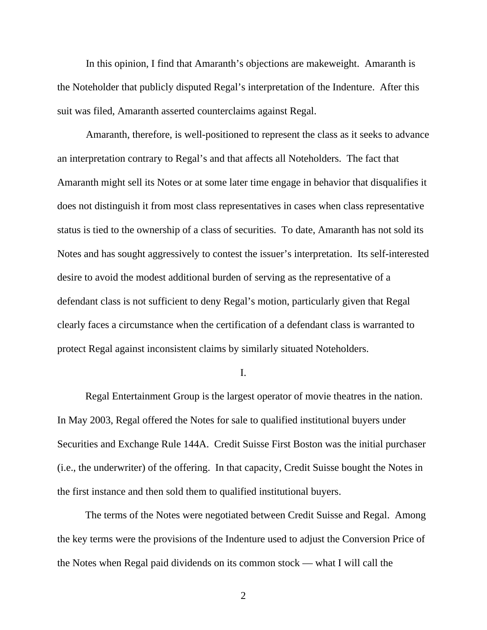In this opinion, I find that Amaranth's objections are makeweight. Amaranth is the Noteholder that publicly disputed Regal's interpretation of the Indenture. After this suit was filed, Amaranth asserted counterclaims against Regal.

 Amaranth, therefore, is well-positioned to represent the class as it seeks to advance an interpretation contrary to Regal's and that affects all Noteholders. The fact that Amaranth might sell its Notes or at some later time engage in behavior that disqualifies it does not distinguish it from most class representatives in cases when class representative status is tied to the ownership of a class of securities. To date, Amaranth has not sold its Notes and has sought aggressively to contest the issuer's interpretation. Its self-interested desire to avoid the modest additional burden of serving as the representative of a defendant class is not sufficient to deny Regal's motion, particularly given that Regal clearly faces a circumstance when the certification of a defendant class is warranted to protect Regal against inconsistent claims by similarly situated Noteholders.

I.

Regal Entertainment Group is the largest operator of movie theatres in the nation. In May 2003, Regal offered the Notes for sale to qualified institutional buyers under Securities and Exchange Rule 144A. Credit Suisse First Boston was the initial purchaser (i.e., the underwriter) of the offering. In that capacity, Credit Suisse bought the Notes in the first instance and then sold them to qualified institutional buyers.

The terms of the Notes were negotiated between Credit Suisse and Regal. Among the key terms were the provisions of the Indenture used to adjust the Conversion Price of the Notes when Regal paid dividends on its common stock — what I will call the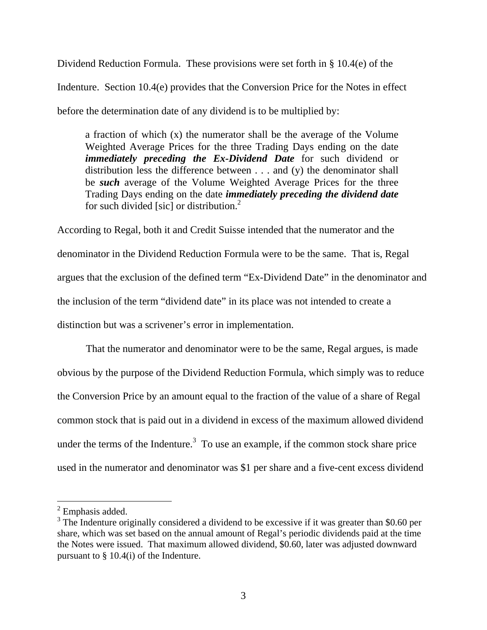Dividend Reduction Formula. These provisions were set forth in § 10.4(e) of the Indenture. Section 10.4(e) provides that the Conversion Price for the Notes in effect before the determination date of any dividend is to be multiplied by:

a fraction of which (x) the numerator shall be the average of the Volume Weighted Average Prices for the three Trading Days ending on the date *immediately preceding the Ex-Dividend Date* for such dividend or distribution less the difference between . . . and (y) the denominator shall be *such* average of the Volume Weighted Average Prices for the three Trading Days ending on the date *immediately preceding the dividend date* for such divided [sic] or distribution.<sup>2</sup>

According to Regal, both it and Credit Suisse intended that the numerator and the denominator in the Dividend Reduction Formula were to be the same. That is, Regal argues that the exclusion of the defined term "Ex-Dividend Date" in the denominator and the inclusion of the term "dividend date" in its place was not intended to create a distinction but was a scrivener's error in implementation.

That the numerator and denominator were to be the same, Regal argues, is made obvious by the purpose of the Dividend Reduction Formula, which simply was to reduce the Conversion Price by an amount equal to the fraction of the value of a share of Regal common stock that is paid out in a dividend in excess of the maximum allowed dividend under the terms of the Indenture.<sup>3</sup> To use an example, if the common stock share price used in the numerator and denominator was \$1 per share and a five-cent excess dividend

 $2$  Emphasis added.

 $3$  The Indenture originally considered a dividend to be excessive if it was greater than \$0.60 per share, which was set based on the annual amount of Regal's periodic dividends paid at the time the Notes were issued. That maximum allowed dividend, \$0.60, later was adjusted downward pursuant to § 10.4(i) of the Indenture.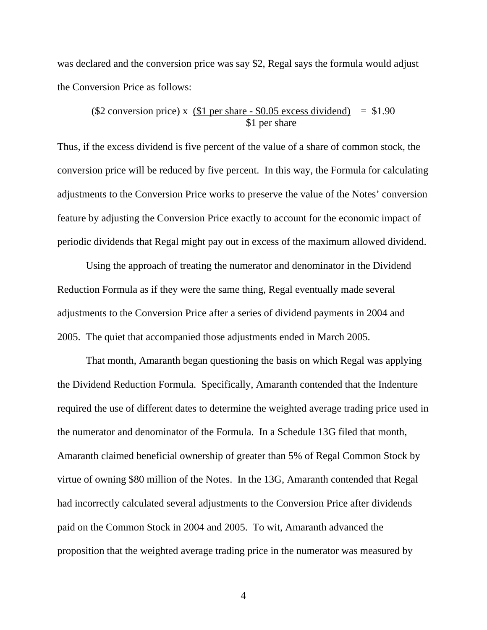was declared and the conversion price was say \$2, Regal says the formula would adjust the Conversion Price as follows:

$$
(\$2 \text{ conversion price}) \times (\underline{\$1 per share - \$0.05 excess dividend}) = \$1.90
$$
  
\$1 per share

Thus, if the excess dividend is five percent of the value of a share of common stock, the conversion price will be reduced by five percent. In this way, the Formula for calculating adjustments to the Conversion Price works to preserve the value of the Notes' conversion feature by adjusting the Conversion Price exactly to account for the economic impact of periodic dividends that Regal might pay out in excess of the maximum allowed dividend.

 Using the approach of treating the numerator and denominator in the Dividend Reduction Formula as if they were the same thing, Regal eventually made several adjustments to the Conversion Price after a series of dividend payments in 2004 and 2005. The quiet that accompanied those adjustments ended in March 2005.

That month, Amaranth began questioning the basis on which Regal was applying the Dividend Reduction Formula. Specifically, Amaranth contended that the Indenture required the use of different dates to determine the weighted average trading price used in the numerator and denominator of the Formula. In a Schedule 13G filed that month, Amaranth claimed beneficial ownership of greater than 5% of Regal Common Stock by virtue of owning \$80 million of the Notes. In the 13G, Amaranth contended that Regal had incorrectly calculated several adjustments to the Conversion Price after dividends paid on the Common Stock in 2004 and 2005. To wit, Amaranth advanced the proposition that the weighted average trading price in the numerator was measured by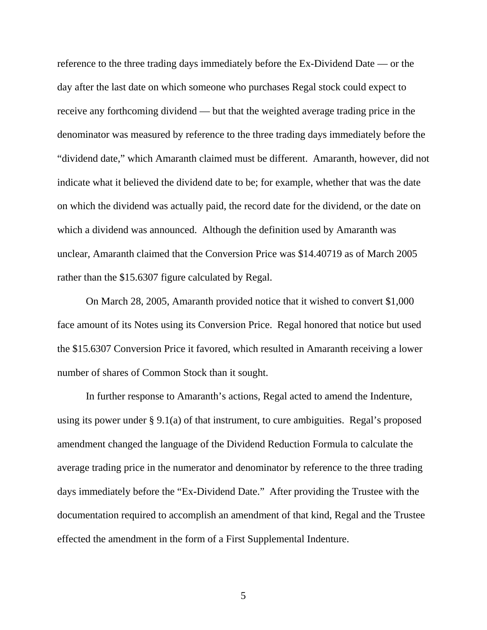reference to the three trading days immediately before the Ex-Dividend Date — or the day after the last date on which someone who purchases Regal stock could expect to receive any forthcoming dividend — but that the weighted average trading price in the denominator was measured by reference to the three trading days immediately before the "dividend date," which Amaranth claimed must be different. Amaranth, however, did not indicate what it believed the dividend date to be; for example, whether that was the date on which the dividend was actually paid, the record date for the dividend, or the date on which a dividend was announced. Although the definition used by Amaranth was unclear, Amaranth claimed that the Conversion Price was \$14.40719 as of March 2005 rather than the \$15.6307 figure calculated by Regal.

 On March 28, 2005, Amaranth provided notice that it wished to convert \$1,000 face amount of its Notes using its Conversion Price. Regal honored that notice but used the \$15.6307 Conversion Price it favored, which resulted in Amaranth receiving a lower number of shares of Common Stock than it sought.

 In further response to Amaranth's actions, Regal acted to amend the Indenture, using its power under § 9.1(a) of that instrument, to cure ambiguities. Regal's proposed amendment changed the language of the Dividend Reduction Formula to calculate the average trading price in the numerator and denominator by reference to the three trading days immediately before the "Ex-Dividend Date." After providing the Trustee with the documentation required to accomplish an amendment of that kind, Regal and the Trustee effected the amendment in the form of a First Supplemental Indenture.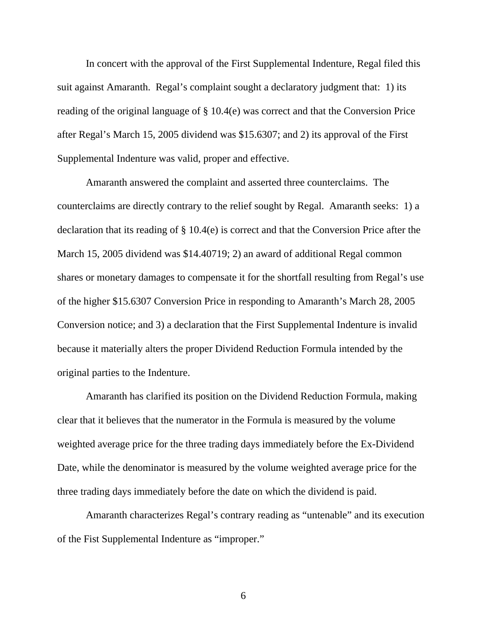In concert with the approval of the First Supplemental Indenture, Regal filed this suit against Amaranth. Regal's complaint sought a declaratory judgment that: 1) its reading of the original language of § 10.4(e) was correct and that the Conversion Price after Regal's March 15, 2005 dividend was \$15.6307; and 2) its approval of the First Supplemental Indenture was valid, proper and effective.

 Amaranth answered the complaint and asserted three counterclaims. The counterclaims are directly contrary to the relief sought by Regal. Amaranth seeks: 1) a declaration that its reading of § 10.4(e) is correct and that the Conversion Price after the March 15, 2005 dividend was \$14.40719; 2) an award of additional Regal common shares or monetary damages to compensate it for the shortfall resulting from Regal's use of the higher \$15.6307 Conversion Price in responding to Amaranth's March 28, 2005 Conversion notice; and 3) a declaration that the First Supplemental Indenture is invalid because it materially alters the proper Dividend Reduction Formula intended by the original parties to the Indenture.

 Amaranth has clarified its position on the Dividend Reduction Formula, making clear that it believes that the numerator in the Formula is measured by the volume weighted average price for the three trading days immediately before the Ex-Dividend Date, while the denominator is measured by the volume weighted average price for the three trading days immediately before the date on which the dividend is paid.

 Amaranth characterizes Regal's contrary reading as "untenable" and its execution of the Fist Supplemental Indenture as "improper."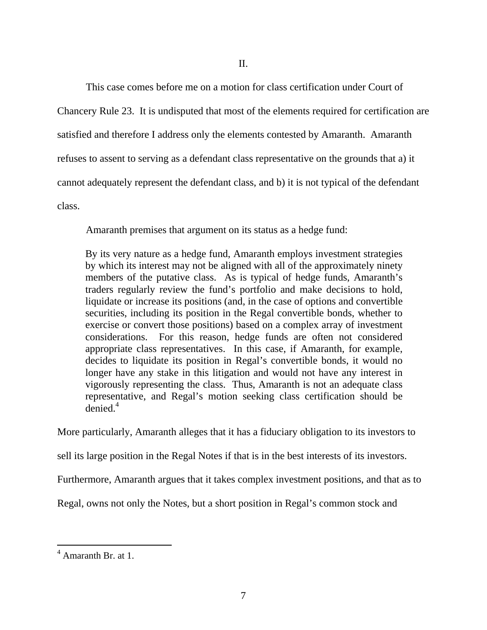This case comes before me on a motion for class certification under Court of

Chancery Rule 23. It is undisputed that most of the elements required for certification are satisfied and therefore I address only the elements contested by Amaranth. Amaranth refuses to assent to serving as a defendant class representative on the grounds that a) it cannot adequately represent the defendant class, and b) it is not typical of the defendant class.

Amaranth premises that argument on its status as a hedge fund:

By its very nature as a hedge fund, Amaranth employs investment strategies by which its interest may not be aligned with all of the approximately ninety members of the putative class. As is typical of hedge funds, Amaranth's traders regularly review the fund's portfolio and make decisions to hold, liquidate or increase its positions (and, in the case of options and convertible securities, including its position in the Regal convertible bonds, whether to exercise or convert those positions) based on a complex array of investment considerations. For this reason, hedge funds are often not considered appropriate class representatives. In this case, if Amaranth, for example, decides to liquidate its position in Regal's convertible bonds, it would no longer have any stake in this litigation and would not have any interest in vigorously representing the class. Thus, Amaranth is not an adequate class representative, and Regal's motion seeking class certification should be  $denied<sup>4</sup>$ 

More particularly, Amaranth alleges that it has a fiduciary obligation to its investors to

sell its large position in the Regal Notes if that is in the best interests of its investors.

Furthermore, Amaranth argues that it takes complex investment positions, and that as to

Regal, owns not only the Notes, but a short position in Regal's common stock and

<sup>4</sup> Amaranth Br. at 1.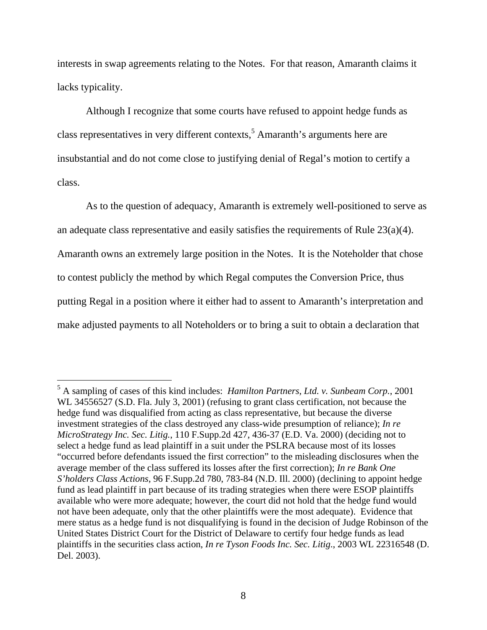interests in swap agreements relating to the Notes. For that reason, Amaranth claims it lacks typicality.

Although I recognize that some courts have refused to appoint hedge funds as class representatives in very different contexts,<sup>5</sup> Amaranth's arguments here are insubstantial and do not come close to justifying denial of Regal's motion to certify a class.

As to the question of adequacy, Amaranth is extremely well-positioned to serve as an adequate class representative and easily satisfies the requirements of Rule 23(a)(4). Amaranth owns an extremely large position in the Notes. It is the Noteholder that chose to contest publicly the method by which Regal computes the Conversion Price, thus putting Regal in a position where it either had to assent to Amaranth's interpretation and make adjusted payments to all Noteholders or to bring a suit to obtain a declaration that

 5 A sampling of cases of this kind includes: *Hamilton Partners, Ltd. v. Sunbeam Corp.*, 2001 WL 34556527 (S.D. Fla. July 3, 2001) (refusing to grant class certification, not because the hedge fund was disqualified from acting as class representative, but because the diverse investment strategies of the class destroyed any class-wide presumption of reliance); *In re MicroStrategy Inc. Sec. Litig.*, 110 F.Supp.2d 427, 436-37 (E.D. Va. 2000) (deciding not to select a hedge fund as lead plaintiff in a suit under the PSLRA because most of its losses "occurred before defendants issued the first correction" to the misleading disclosures when the average member of the class suffered its losses after the first correction); *In re Bank One S'holders Class Actions*, 96 F.Supp.2d 780, 783-84 (N.D. Ill. 2000) (declining to appoint hedge fund as lead plaintiff in part because of its trading strategies when there were ESOP plaintiffs available who were more adequate; however, the court did not hold that the hedge fund would not have been adequate, only that the other plaintiffs were the most adequate). Evidence that mere status as a hedge fund is not disqualifying is found in the decision of Judge Robinson of the United States District Court for the District of Delaware to certify four hedge funds as lead plaintiffs in the securities class action, *In re Tyson Foods Inc. Sec. Litig*., 2003 WL 22316548 (D. Del. 2003).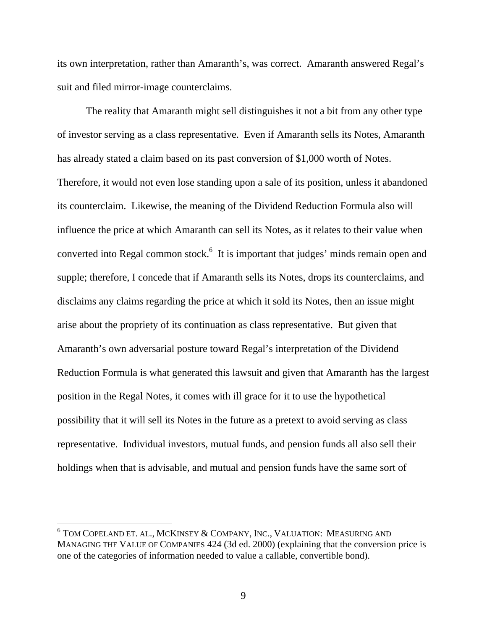its own interpretation, rather than Amaranth's, was correct. Amaranth answered Regal's suit and filed mirror-image counterclaims.

The reality that Amaranth might sell distinguishes it not a bit from any other type of investor serving as a class representative. Even if Amaranth sells its Notes, Amaranth has already stated a claim based on its past conversion of \$1,000 worth of Notes. Therefore, it would not even lose standing upon a sale of its position, unless it abandoned its counterclaim. Likewise, the meaning of the Dividend Reduction Formula also will influence the price at which Amaranth can sell its Notes, as it relates to their value when converted into Regal common stock. $<sup>6</sup>$  It is important that judges' minds remain open and</sup> supple; therefore, I concede that if Amaranth sells its Notes, drops its counterclaims, and disclaims any claims regarding the price at which it sold its Notes, then an issue might arise about the propriety of its continuation as class representative. But given that Amaranth's own adversarial posture toward Regal's interpretation of the Dividend Reduction Formula is what generated this lawsuit and given that Amaranth has the largest position in the Regal Notes, it comes with ill grace for it to use the hypothetical possibility that it will sell its Notes in the future as a pretext to avoid serving as class representative. Individual investors, mutual funds, and pension funds all also sell their holdings when that is advisable, and mutual and pension funds have the same sort of

 $^6$  Tom Copeland et. al., McKinsey & Company, Inc., Valuation: Measuring and MANAGING THE VALUE OF COMPANIES 424 (3d ed. 2000) (explaining that the conversion price is one of the categories of information needed to value a callable, convertible bond).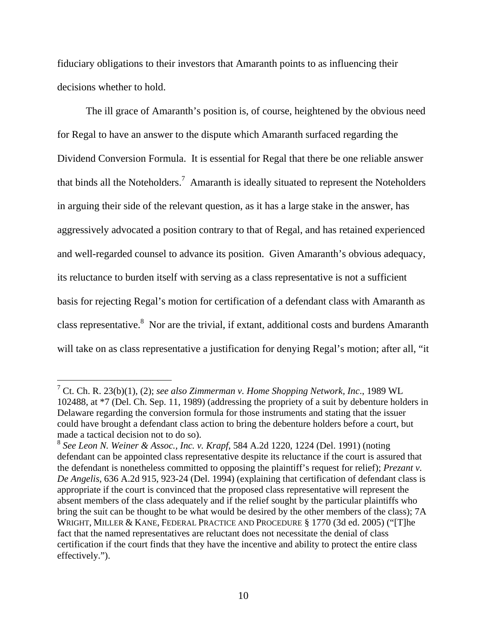fiduciary obligations to their investors that Amaranth points to as influencing their decisions whether to hold.

The ill grace of Amaranth's position is, of course, heightened by the obvious need for Regal to have an answer to the dispute which Amaranth surfaced regarding the Dividend Conversion Formula. It is essential for Regal that there be one reliable answer that binds all the Noteholders.<sup>7</sup> Amaranth is ideally situated to represent the Noteholders in arguing their side of the relevant question, as it has a large stake in the answer, has aggressively advocated a position contrary to that of Regal, and has retained experienced and well-regarded counsel to advance its position. Given Amaranth's obvious adequacy, its reluctance to burden itself with serving as a class representative is not a sufficient basis for rejecting Regal's motion for certification of a defendant class with Amaranth as class representative.<sup>8</sup> Nor are the trivial, if extant, additional costs and burdens Amaranth will take on as class representative a justification for denying Regal's motion; after all, "it

<sup>7</sup> Ct. Ch. R. 23(b)(1), (2); *see also Zimmerman v. Home Shopping Network, Inc*., 1989 WL 102488, at \*7 (Del. Ch. Sep. 11, 1989) (addressing the propriety of a suit by debenture holders in Delaware regarding the conversion formula for those instruments and stating that the issuer could have brought a defendant class action to bring the debenture holders before a court, but made a tactical decision not to do so).

<sup>8</sup> *See Leon N. Weiner & Assoc., Inc. v. Krapf*, 584 A.2d 1220, 1224 (Del. 1991) (noting defendant can be appointed class representative despite its reluctance if the court is assured that the defendant is nonetheless committed to opposing the plaintiff's request for relief); *Prezant v. De Angelis*, 636 A.2d 915, 923-24 (Del. 1994) (explaining that certification of defendant class is appropriate if the court is convinced that the proposed class representative will represent the absent members of the class adequately and if the relief sought by the particular plaintiffs who bring the suit can be thought to be what would be desired by the other members of the class); 7A WRIGHT, MILLER & KANE, FEDERAL PRACTICE AND PROCEDURE § 1770 (3d ed. 2005) ("[T]he fact that the named representatives are reluctant does not necessitate the denial of class certification if the court finds that they have the incentive and ability to protect the entire class effectively.").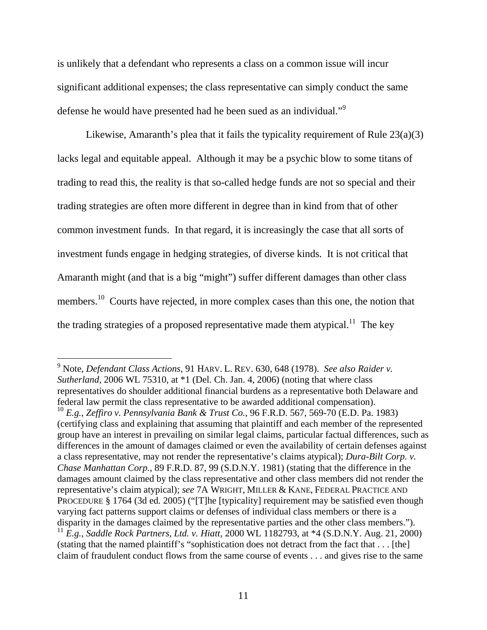is unlikely that a defendant who represents a class on a common issue will incur significant additional expenses; the class representative can simply conduct the same defense he would have presented had he been sued as an individual."<sup>9</sup>

Likewise, Amaranth's plea that it fails the typicality requirement of Rule 23(a)(3) lacks legal and equitable appeal. Although it may be a psychic blow to some titans of trading to read this, the reality is that so-called hedge funds are not so special and their trading strategies are often more different in degree than in kind from that of other common investment funds. In that regard, it is increasingly the case that all sorts of investment funds engage in hedging strategies, of diverse kinds. It is not critical that Amaranth might (and that is a big "might") suffer different damages than other class members.<sup>10</sup> Courts have rejected, in more complex cases than this one, the notion that the trading strategies of a proposed representative made them atypical.<sup>11</sup> The key

<sup>9</sup> Note, *Defendant Class Actions*, 91 HARV. L. REV. 630, 648 (1978). *See also Raider v. Sutherland*, 2006 WL 75310, at \*1 (Del. Ch. Jan. 4, 2006) (noting that where class representatives do shoulder additional financial burdens as a representative both Delaware and federal law permit the class representative to be awarded additional compensation).

<sup>10</sup> *E.g.*, *Zeffiro v. Pennsylvania Bank & Trust Co.*, 96 F.R.D. 567, 569-70 (E.D. Pa. 1983) (certifying class and explaining that assuming that plaintiff and each member of the represented group have an interest in prevailing on similar legal claims, particular factual differences, such as differences in the amount of damages claimed or even the availability of certain defenses against a class representative, may not render the representative's claims atypical); *Dura-Bilt Corp. v. Chase Manhattan Corp.*, 89 F.R.D. 87, 99 (S.D.N.Y. 1981) (stating that the difference in the damages amount claimed by the class representative and other class members did not render the representative's claim atypical); *see* 7A WRIGHT, MILLER & KANE, FEDERAL PRACTICE AND PROCEDURE § 1764 (3d ed. 2005) ("[T]he [typicality] requirement may be satisfied even though varying fact patterns support claims or defenses of individual class members or there is a disparity in the damages claimed by the representative parties and the other class members."). <sup>11</sup> *E.g.*, *Saddle Rock Partners, Ltd. v. Hiatt*, 2000 WL 1182793, at \*4 (S.D.N.Y. Aug. 21, 2000) (stating that the named plaintiff's "sophistication does not detract from the fact that . . . [the] claim of fraudulent conduct flows from the same course of events . . . and gives rise to the same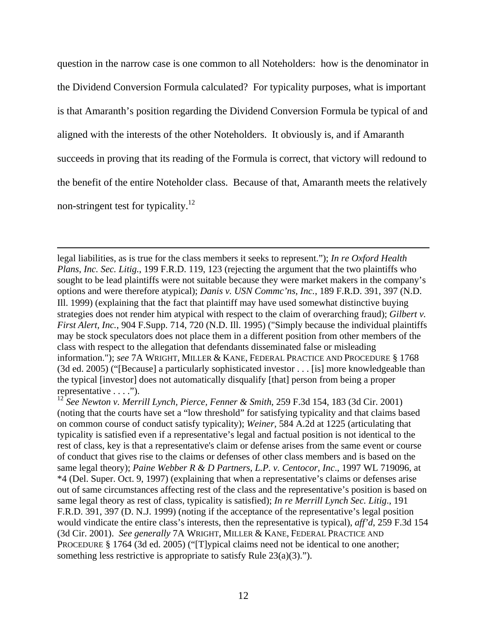question in the narrow case is one common to all Noteholders: how is the denominator in the Dividend Conversion Formula calculated? For typicality purposes, what is important is that Amaranth's position regarding the Dividend Conversion Formula be typical of and aligned with the interests of the other Noteholders. It obviously is, and if Amaranth succeeds in proving that its reading of the Formula is correct, that victory will redound to the benefit of the entire Noteholder class. Because of that, Amaranth meets the relatively non-stringent test for typicality.12

legal liabilities, as is true for the class members it seeks to represent."); *In re Oxford Health Plans, Inc. Sec. Litig.*, 199 F.R.D. 119, 123 (rejecting the argument that the two plaintiffs who sought to be lead plaintiffs were not suitable because they were market makers in the company's options and were therefore atypical); *Danis v. USN Commc'ns, Inc.*, 189 F.R.D. 391, 397 (N.D. Ill. 1999) (explaining that the fact that plaintiff may have used somewhat distinctive buying strategies does not render him atypical with respect to the claim of overarching fraud); *Gilbert v. First Alert, Inc.*, 904 F.Supp. 714, 720 (N.D. Ill. 1995) ("Simply because the individual plaintiffs may be stock speculators does not place them in a different position from other members of the class with respect to the allegation that defendants disseminated false or misleading information."); *see* 7A WRIGHT, MILLER & KANE, FEDERAL PRACTICE AND PROCEDURE § 1768 (3d ed. 2005) ("[Because] a particularly sophisticated investor . . . [is] more knowledgeable than the typical [investor] does not automatically disqualify [that] person from being a proper representative . . . .").

<sup>12</sup> *See Newton v. Merrill Lynch, Pierce, Fenner & Smith*, 259 F.3d 154, 183 (3d Cir. 2001) (noting that the courts have set a "low threshold" for satisfying typicality and that claims based on common course of conduct satisfy typicality); *Weiner*, 584 A.2d at 1225 (articulating that typicality is satisfied even if a representative's legal and factual position is not identical to the rest of class, key is that a representative's claim or defense arises from the same event or course of conduct that gives rise to the claims or defenses of other class members and is based on the same legal theory); *Paine Webber R & D Partners, L.P. v. Centocor, Inc*., 1997 WL 719096, at \*4 (Del. Super. Oct. 9, 1997) (explaining that when a representative's claims or defenses arise out of same circumstances affecting rest of the class and the representative's position is based on same legal theory as rest of class, typicality is satisfied); *In re Merrill Lynch Sec. Litig*., 191 F.R.D. 391, 397 (D. N.J. 1999) (noting if the acceptance of the representative's legal position would vindicate the entire class's interests, then the representative is typical), *aff'd*, 259 F.3d 154 (3d Cir. 2001). *See generally* 7A WRIGHT, MILLER & KANE, FEDERAL PRACTICE AND PROCEDURE § 1764 (3d ed. 2005) ("[T]ypical claims need not be identical to one another; something less restrictive is appropriate to satisfy Rule 23(a)(3).").